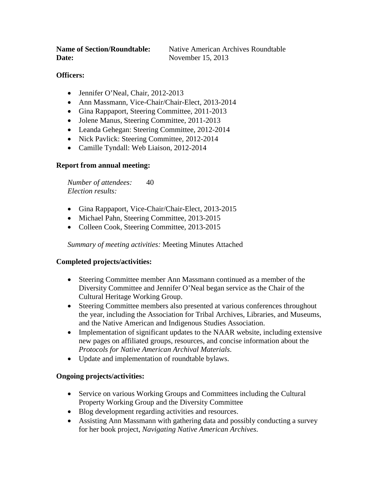| <b>Name of Section/Roundtable:</b> | Native American Archives Roundtable |
|------------------------------------|-------------------------------------|
| Date:                              | November 15, 2013                   |

## **Officers:**

- Jennifer O'Neal, Chair, 2012-2013
- Ann Massmann, Vice-Chair/Chair-Elect, 2013-2014
- Gina Rappaport, Steering Committee, 2011-2013
- Jolene Manus, Steering Committee, 2011-2013
- Leanda Gehegan: Steering Committee, 2012-2014
- Nick Pavlick: Steering Committee, 2012-2014
- Camille Tyndall: Web Liaison, 2012-2014

## **Report from annual meeting:**

*Number of attendees:* 40 *Election results:*

- Gina Rappaport, Vice-Chair/Chair-Elect, 2013-2015
- Michael Pahn, Steering Committee, 2013-2015
- Colleen Cook, Steering Committee, 2013-2015

*Summary of meeting activities:* Meeting Minutes Attached

## **Completed projects/activities:**

- Steering Committee member Ann Massmann continued as a member of the Diversity Committee and Jennifer O'Neal began service as the Chair of the Cultural Heritage Working Group.
- Steering Committee members also presented at various conferences throughout the year, including the Association for Tribal Archives, Libraries, and Museums, and the Native American and Indigenous Studies Association.
- Implementation of significant updates to the NAAR website, including extensive new pages on affiliated groups, resources, and concise information about the *Protocols for Native American Archival Materials*.
- Update and implementation of roundtable bylaws.

## **Ongoing projects/activities:**

- Service on various Working Groups and Committees including the Cultural Property Working Group and the Diversity Committee
- Blog development regarding activities and resources.
- Assisting Ann Massmann with gathering data and possibly conducting a survey for her book project, *Navigating Native American Archives*.